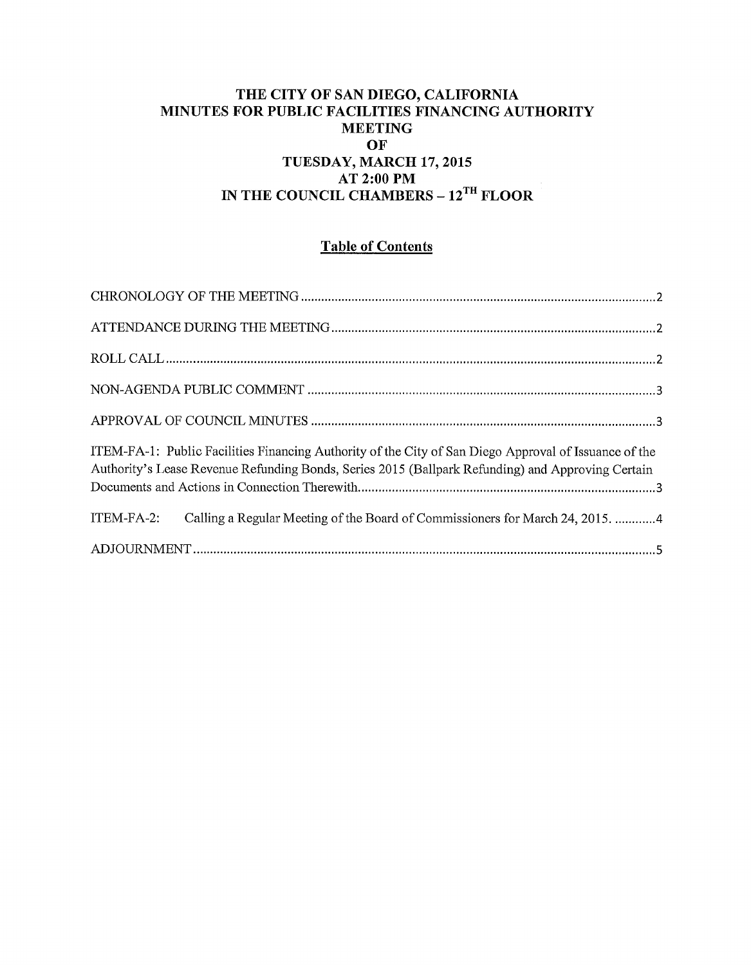## **THE CITY OF SAN DIEGO, CALIFORNIA MINUTES FOR PUBLIC FACILITIES FINANCING AUTHORITY MEETING OF TUESDAY, MARCH 17,2015 AT 2:00PM IN THE COUNCIL CHAMBERS -12TH FLOOR**

# **Table of Contents**

| ITEM-FA-1: Public Facilities Financing Authority of the City of San Diego Approval of Issuance of the<br>Authority's Lease Revenue Refunding Bonds, Series 2015 (Ballpark Refunding) and Approving Certain |
|------------------------------------------------------------------------------------------------------------------------------------------------------------------------------------------------------------|
| ITEM-FA-2: Calling a Regular Meeting of the Board of Commissioners for March 24, 2015. 4                                                                                                                   |
|                                                                                                                                                                                                            |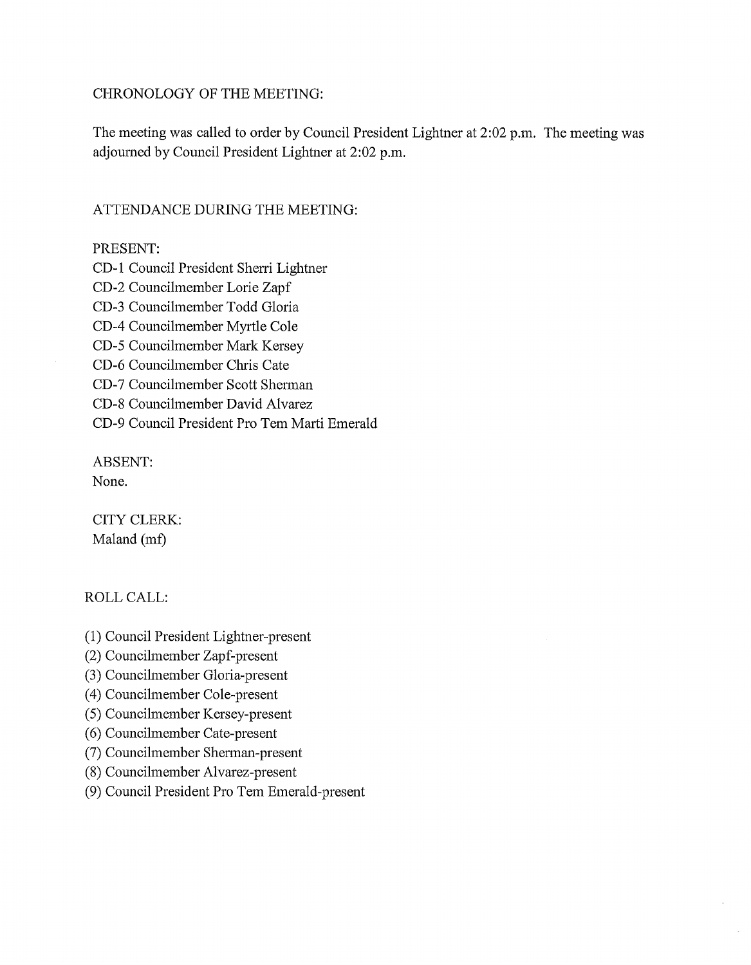#### CHRONOLOGY OF THE MEETING:

The meeting was called to order by Council President Lightner at 2:02 p.m. The meeting was adjourned by Council President Lightner at 2:02 p.m.

#### ATTENDANCE DURING THE MEETING:

PRESENT:

CD-1 Council President Sherri Lightner CD-2 Councilmember Lorie Zapf CD-3 Councilmember Todd Gloria CD-4 Councilmember Myrtle Cole CD-5 Councilmember Mark Kersey CD-6 Councilmember Chris Cate CD-7 Councilmember Scott Sherman CD-8 Councilmember David Alvarez CD-9 Council President Pro Tern Marti Emerald

ABSENT:

None.

CITY CLERK: Maland (mf)

ROLLCALL:

- (1) Council President Lightner-present
- (2) Councilmember Zapf-present
- (3) Councilmember Gloria-present
- (4) Councilmember Cole-present
- (5) Councilmember Kersey-present
- (6) Councilmember Cate-present
- (7) Councilmember Shennan-present
- (8) Councilmember Alvarez-present
- (9) Council President Pro Tern Emerald-present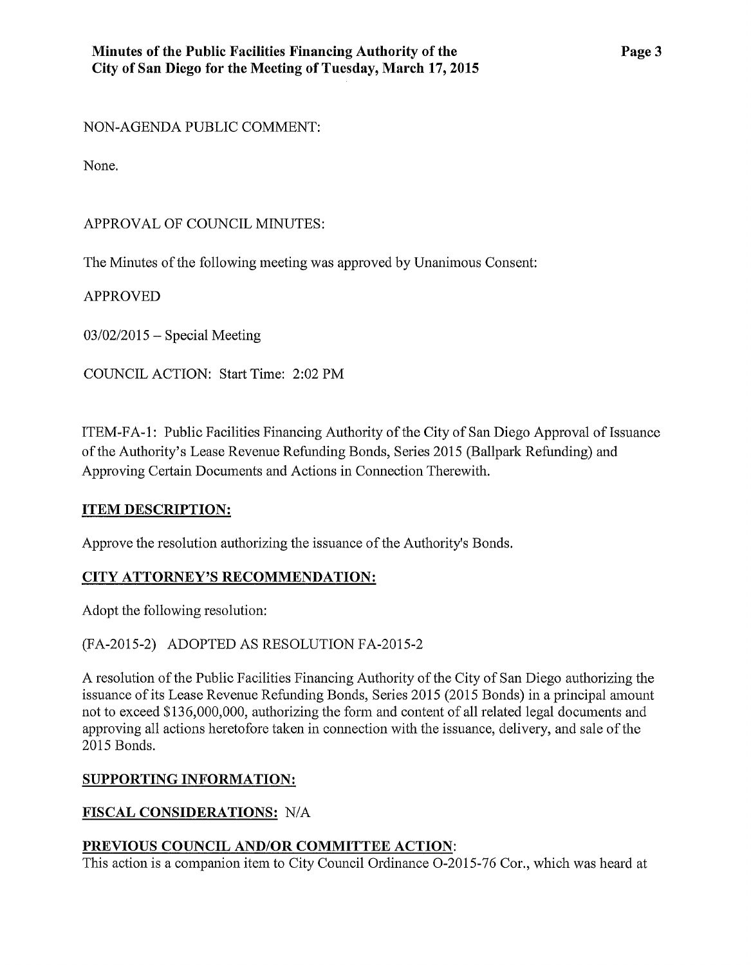NON-AGENDA PUBLIC COMMENT:

None.

# APPROVAL OF COUNCIL MINUTES:

The Minutes of the following meeting was approved by Unanimous Consent:

APPROVED

 $03/02/2015$  – Special Meeting

COUNCIL ACTION: Start Time: 2:02PM

ITEM-FA -1: Public Facilities Financing Authority of the City of San Diego Approval of Issuance of the Authority's Lease Revenue Refunding Bonds, Series 2015 (Ballpark Refunding) and Approving Certain Documents and Actions in Connection Therewith.

## **ITEM DESCRIPTION:**

Approve the resolution authorizing the issuance of the Authority's Bonds.

## **CITY ATTORNEY'S RECOMMENDATION:**

Adopt the following resolution:

(FA-2015-2) ADOPTED AS RESOLUTION FA-2015-2

A resolution of the Public Facilities Financing Authority of the City of San Diego authorizing the issuance of its Lease Revenue Refunding Bonds, Series 2015 (2015 Bonds) in a principal amount not to exceed \$136,000,000, authorizing the form and content of all related legal documents and approving all actions heretofore taken in connection with the issuance, delivery, and sale of the 2015 Bonds.

## **SUPPORTING INFORMATION:**

## **FISCAL CONSIDERATIONS:** N/A

## **PREVIOUS COUNCIL AND/OR COMMITTEE ACTION:**

This action is a companion item to City Council Ordinance 0-2015-76 Cor., which was heard at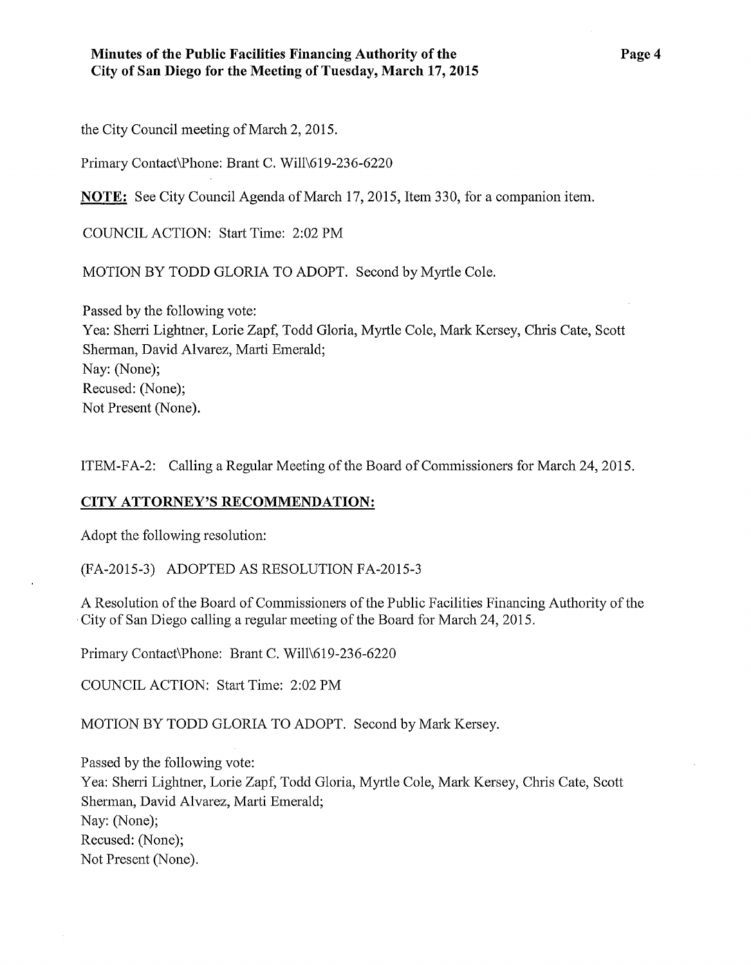the City Council meeting of March 2, 2015.

Primary Contact\Phone: Brant C. Will\619-236-6220

**NOTE:** See City Council Agenda of March 17, 2015, Item 330, for a companion item.

COUNCIL ACTION: Start Time: 2:02PM

MOTION BY TODD GLORIA TO ADOPT. Second by Myrtle Cole.

Passed by the following vote: Yea: Sherri Lightner, Lorie Zapf, Todd Gloria, Myrtle Cole, Mark Kersey, Chris Cate, Scott Sherman, David Alvarez, Marti Emerald; Nay: (None); Recused: (None); Not Present (None).

ITEM-FA-2: Calling a Regular Meeting of the Board of Commissioners for March 24, 2015.

## **CITY ATTORNEY'S RECOMMENDATION:**

Adopt the following resolution:

(FA-2015-3) ADOPTED AS RESOLUTION FA-2015-3

A Resolution of the Board of Commissioners of the Public Facilities Financing Authority of the ·City of San Diego calling a regular meeting of the Board for March 24, 2015.

Primary Contact\Phone: Brant C. Will\619-236-6220

COUNCIL ACTION: Start Time: 2:02PM

MOTION BY TODD GLORIA TO ADOPT. Second by Mark Kersey.

Passed by the following vote: Yea: Sheni Lightner, Lorie Zapf, Todd Gloria, Myrtle Cole, Mark Kersey, Chris Cate, Scott Sherman, David Alvarez, Marti Emerald; Nay: (None); Recused: (None); Not Present (None).